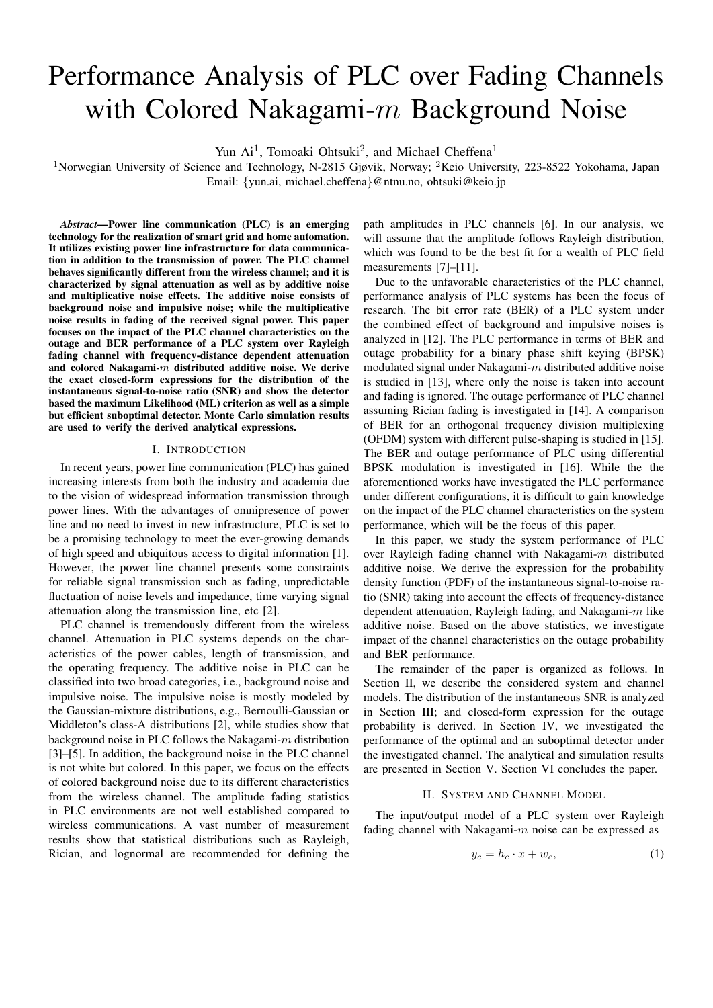# Performance Analysis of PLC over Fading Channels with Colored Nakagami-m Background Noise

Yun Ai<sup>1</sup>, Tomoaki Ohtsuki<sup>2</sup>, and Michael Cheffena<sup>1</sup>

<sup>1</sup>Norwegian University of Science and Technology, N-2815 Gjøvik, Norway; <sup>2</sup>Keio University, 223-8522 Yokohama, Japan Email: {yun.ai, michael.cheffena}@ntnu.no, ohtsuki@keio.jp

*Abstract*—Power line communication (PLC) is an emerging technology for the realization of smart grid and home automation. It utilizes existing power line infrastructure for data communication in addition to the transmission of power. The PLC channel behaves significantly different from the wireless channel; and it is characterized by signal attenuation as well as by additive noise and multiplicative noise effects. The additive noise consists of background noise and impulsive noise; while the multiplicative noise results in fading of the received signal power. This paper focuses on the impact of the PLC channel characteristics on the outage and BER performance of a PLC system over Rayleigh fading channel with frequency-distance dependent attenuation and colored Nakagami-m distributed additive noise. We derive the exact closed-form expressions for the distribution of the instantaneous signal-to-noise ratio (SNR) and show the detector based the maximum Likelihood (ML) criterion as well as a simple but efficient suboptimal detector. Monte Carlo simulation results are used to verify the derived analytical expressions.

#### I. INTRODUCTION

In recent years, power line communication (PLC) has gained increasing interests from both the industry and academia due to the vision of widespread information transmission through power lines. With the advantages of omnipresence of power line and no need to invest in new infrastructure, PLC is set to be a promising technology to meet the ever-growing demands of high speed and ubiquitous access to digital information [1]. However, the power line channel presents some constraints for reliable signal transmission such as fading, unpredictable fluctuation of noise levels and impedance, time varying signal attenuation along the transmission line, etc [2].

PLC channel is tremendously different from the wireless channel. Attenuation in PLC systems depends on the characteristics of the power cables, length of transmission, and the operating frequency. The additive noise in PLC can be classified into two broad categories, i.e., background noise and impulsive noise. The impulsive noise is mostly modeled by the Gaussian-mixture distributions, e.g., Bernoulli-Gaussian or Middleton's class-A distributions [2], while studies show that background noise in PLC follows the Nakagami- $m$  distribution [3]–[5]. In addition, the background noise in the PLC channel is not white but colored. In this paper, we focus on the effects of colored background noise due to its different characteristics from the wireless channel. The amplitude fading statistics in PLC environments are not well established compared to wireless communications. A vast number of measurement results show that statistical distributions such as Rayleigh, Rician, and lognormal are recommended for defining the

path amplitudes in PLC channels [6]. In our analysis, we will assume that the amplitude follows Rayleigh distribution, which was found to be the best fit for a wealth of PLC field measurements [7]–[11].

Due to the unfavorable characteristics of the PLC channel, performance analysis of PLC systems has been the focus of research. The bit error rate (BER) of a PLC system under the combined effect of background and impulsive noises is analyzed in [12]. The PLC performance in terms of BER and outage probability for a binary phase shift keying (BPSK) modulated signal under Nakagami- $m$  distributed additive noise is studied in [13], where only the noise is taken into account and fading is ignored. The outage performance of PLC channel assuming Rician fading is investigated in [14]. A comparison of BER for an orthogonal frequency division multiplexing (OFDM) system with different pulse-shaping is studied in [15]. The BER and outage performance of PLC using differential BPSK modulation is investigated in [16]. While the the aforementioned works have investigated the PLC performance under different configurations, it is difficult to gain knowledge on the impact of the PLC channel characteristics on the system performance, which will be the focus of this paper.

In this paper, we study the system performance of PLC over Rayleigh fading channel with Nakagami- $m$  distributed additive noise. We derive the expression for the probability density function (PDF) of the instantaneous signal-to-noise ratio (SNR) taking into account the effects of frequency-distance dependent attenuation, Rayleigh fading, and Nakagami- $m$  like additive noise. Based on the above statistics, we investigate impact of the channel characteristics on the outage probability and BER performance.

The remainder of the paper is organized as follows. In Section II, we describe the considered system and channel models. The distribution of the instantaneous SNR is analyzed in Section III; and closed-form expression for the outage probability is derived. In Section IV, we investigated the performance of the optimal and an suboptimal detector under the investigated channel. The analytical and simulation results are presented in Section V. Section VI concludes the paper.

### II. SYSTEM AND CHANNEL MODEL

The input/output model of a PLC system over Rayleigh fading channel with Nakagami- $m$  noise can be expressed as

$$
y_c = h_c \cdot x + w_c,\tag{1}
$$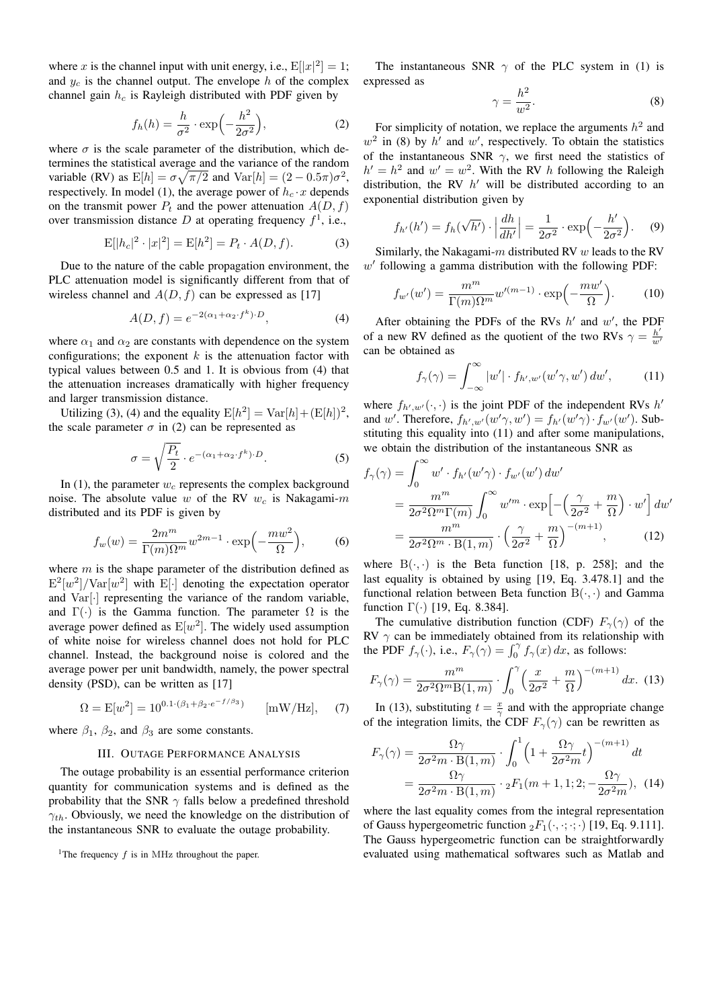where x is the channel input with unit energy, i.e.,  $E[|x|^2] = 1$ ; and  $y_c$  is the channel output. The envelope h of the complex channel gain  $h_c$  is Rayleigh distributed with PDF given by

$$
f_h(h) = \frac{h}{\sigma^2} \cdot \exp\left(-\frac{h^2}{2\sigma^2}\right),\tag{2}
$$

where  $\sigma$  is the scale parameter of the distribution, which determines the statistical average and the variance of the random variable (RV) as  $E[h] = \sigma \sqrt{\pi/2}$  and  $Var[h] = (2 - 0.5\pi)\sigma^2$ , respectively. In model (1), the average power of  $h_c \cdot x$  depends on the transmit power  $P_t$  and the power attenuation  $A(D, f)$ over transmission distance D at operating frequency  $f^1$ , i.e.,

$$
E[|h_c|^2 \cdot |x|^2] = E[h^2] = P_t \cdot A(D, f). \tag{3}
$$

Due to the nature of the cable propagation environment, the PLC attenuation model is significantly different from that of wireless channel and  $A(D, f)$  can be expressed as [17]

$$
A(D, f) = e^{-2(\alpha_1 + \alpha_2 \cdot f^k) \cdot D}, \tag{4}
$$

where  $\alpha_1$  and  $\alpha_2$  are constants with dependence on the system configurations; the exponent  $k$  is the attenuation factor with typical values between 0.5 and 1. It is obvious from (4) that the attenuation increases dramatically with higher frequency and larger transmission distance.

Utilizing (3), (4) and the equality  $E[h^2] = Var[h] + (E[h])^2$ , the scale parameter  $\sigma$  in (2) can be represented as

$$
\sigma = \sqrt{\frac{P_t}{2}} \cdot e^{-(\alpha_1 + \alpha_2 \cdot f^k) \cdot D}.
$$
 (5)

In (1), the parameter  $w_c$  represents the complex background noise. The absolute value w of the RV  $w_c$  is Nakagami-m distributed and its PDF is given by

$$
f_w(w) = \frac{2m^m}{\Gamma(m)\Omega^m} w^{2m-1} \cdot \exp\left(-\frac{mw^2}{\Omega}\right),\tag{6}
$$

where  $m$  is the shape parameter of the distribution defined as  $\mathbb{E}^{2}[w^2]/\text{Var}[w^2]$  with  $\mathbb{E}[\cdot]$  denoting the expectation operator and Var[·] representing the variance of the random variable, and  $\Gamma(\cdot)$  is the Gamma function. The parameter  $\Omega$  is the average power defined as  $E[w^2]$ . The widely used assumption of white noise for wireless channel does not hold for PLC channel. Instead, the background noise is colored and the average power per unit bandwidth, namely, the power spectral density (PSD), can be written as [17]

$$
\Omega = \mathcal{E}[w^2] = 10^{0.1 \cdot (\beta_1 + \beta_2 \cdot e^{-f/\beta_3})} \qquad [\text{mW/Hz}], \qquad (7)
$$

where  $\beta_1$ ,  $\beta_2$ , and  $\beta_3$  are some constants.

# III. OUTAGE PERFORMANCE ANALYSIS

The outage probability is an essential performance criterion quantity for communication systems and is defined as the probability that the SNR  $\gamma$  falls below a predefined threshold  $\gamma_{th}$ . Obviously, we need the knowledge on the distribution of the instantaneous SNR to evaluate the outage probability.

The instantaneous SNR  $\gamma$  of the PLC system in (1) is expressed as

$$
\gamma = \frac{h^2}{w^2}.\tag{8}
$$

For simplicity of notation, we replace the arguments  $h^2$  and  $w^2$  in (8) by h' and w', respectively. To obtain the statistics of the instantaneous SNR  $\gamma$ , we first need the statistics of  $h' = h^2$  and  $w' = w^2$ . With the RV h following the Raleigh distribution, the RV  $h'$  will be distributed according to an exponential distribution given by

$$
f_{h'}(h') = f_h(\sqrt{h'}) \cdot \left| \frac{dh}{dh'} \right| = \frac{1}{2\sigma^2} \cdot \exp\left(-\frac{h'}{2\sigma^2}\right). \tag{9}
$$

Similarly, the Nakagami- $m$  distributed RV  $w$  leads to the RV  $w'$  following a gamma distribution with the following PDF:

$$
f_{w'}(w') = \frac{m^m}{\Gamma(m)\Omega^m} w'^{(m-1)} \cdot \exp\left(-\frac{mw'}{\Omega}\right).
$$
 (10)

After obtaining the PDFs of the RVs  $h'$  and  $w'$ , the PDF of a new RV defined as the quotient of the two RVs  $\gamma = \frac{h'}{m}$  $\overline{w'}$ can be obtained as

$$
f_{\gamma}(\gamma) = \int_{-\infty}^{\infty} |w'| \cdot f_{h',w'}(w' \gamma, w') dw', \qquad (11)
$$

where  $f_{h',w'}(\cdot, \cdot)$  is the joint PDF of the independent RVs  $h'$ and w'. Therefore,  $f_{h',w'}(w' \gamma, w') = f_{h'}(w' \gamma) \cdot f_{w'}(w')$ . Substituting this equality into (11) and after some manipulations, we obtain the distribution of the instantaneous SNR as

$$
f_{\gamma}(\gamma) = \int_0^{\infty} w' \cdot f_{h'}(w' \gamma) \cdot f_{w'}(w') dw'
$$
  
= 
$$
\frac{m^m}{2\sigma^2 \Omega^m \Gamma(m)} \int_0^{\infty} w'^m \cdot \exp\left[-\left(\frac{\gamma}{2\sigma^2} + \frac{m}{\Omega}\right) \cdot w'\right] dw'
$$
  
= 
$$
\frac{m^m}{2\sigma^2 \Omega^m \cdot B(1, m)} \cdot \left(\frac{\gamma}{2\sigma^2} + \frac{m}{\Omega}\right)^{-(m+1)},
$$
(12)

where  $B(\cdot, \cdot)$  is the Beta function [18, p. 258]; and the last equality is obtained by using [19, Eq. 3.478.1] and the functional relation between Beta function  $B(\cdot, \cdot)$  and Gamma function  $\Gamma(\cdot)$  [19, Eq. 8.384].

The cumulative distribution function (CDF)  $F_{\gamma}(\gamma)$  of the RV  $\gamma$  can be immediately obtained from its relationship with the PDF  $f_{\gamma}(\cdot)$ , i.e.,  $F_{\gamma}(\gamma) = \int_0^{\gamma} f_{\gamma}(x) dx$ , as follows:

$$
F_{\gamma}(\gamma) = \frac{m^m}{2\sigma^2 \Omega^m \mathcal{B}(1, m)} \cdot \int_0^{\gamma} \left(\frac{x}{2\sigma^2} + \frac{m}{\Omega}\right)^{-(m+1)} dx. \tag{13}
$$

In (13), substituting  $t = \frac{x}{\gamma}$  and with the appropriate change of the integration limits, the CDF  $F_{\gamma}(\gamma)$  can be rewritten as

$$
F_{\gamma}(\gamma) = \frac{\Omega \gamma}{2\sigma^2 m \cdot B(1, m)} \cdot \int_0^1 \left(1 + \frac{\Omega \gamma}{2\sigma^2 m} t\right)^{-(m+1)} dt
$$
  
= 
$$
\frac{\Omega \gamma}{2\sigma^2 m \cdot B(1, m)} \cdot {}_2F_1(m+1, 1; 2; -\frac{\Omega \gamma}{2\sigma^2 m}), \quad (14)
$$

where the last equality comes from the integral representation of Gauss hypergeometric function  ${}_2F_1(\cdot, \cdot; \cdot; \cdot)$  [19, Eq. 9.111]. The Gauss hypergeometric function can be straightforwardly evaluated using mathematical softwares such as Matlab and

<sup>&</sup>lt;sup>1</sup>The frequency  $f$  is in MHz throughout the paper.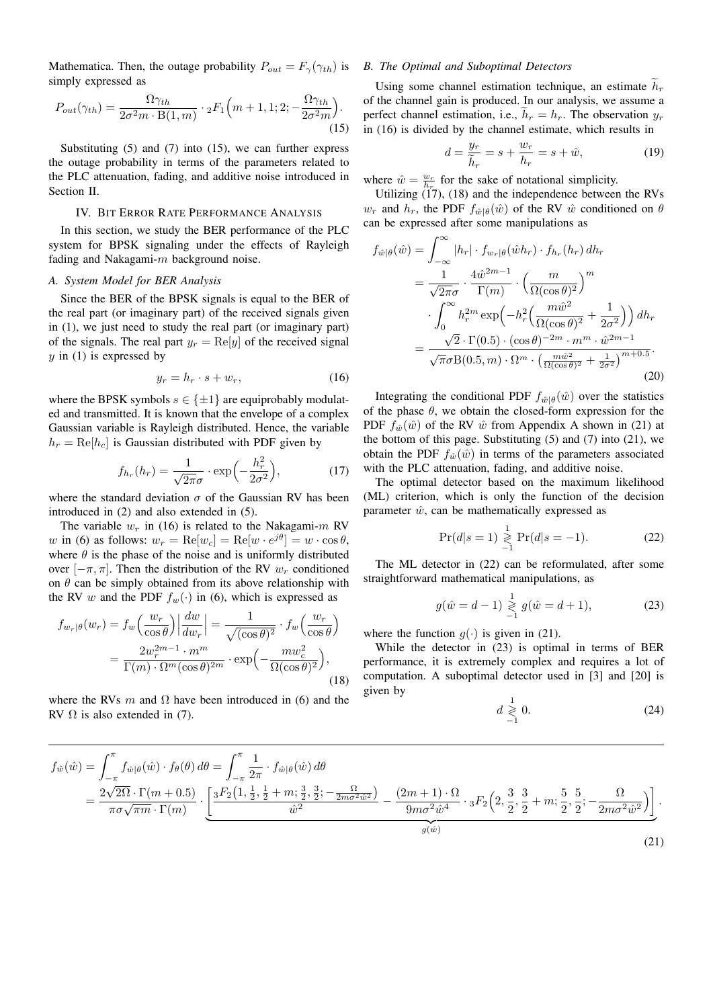Mathematica. Then, the outage probability  $P_{out} = F_{\gamma}(\gamma_{th})$  is simply expressed as

$$
P_{out}(\gamma_{th}) = \frac{\Omega \gamma_{th}}{2\sigma^2 m \cdot B(1, m)} \cdot {}_2F_1\left(m+1, 1; 2; -\frac{\Omega \gamma_{th}}{2\sigma^2 m}\right).
$$
\n(15)

Substituting  $(5)$  and  $(7)$  into  $(15)$ , we can further express the outage probability in terms of the parameters related to the PLC attenuation, fading, and additive noise introduced in Section II.

### IV. BIT ERROR RATE PERFORMANCE ANALYSIS

In this section, we study the BER performance of the PLC system for BPSK signaling under the effects of Rayleigh fading and Nakagami- $m$  background noise.

## *A. System Model for BER Analysis*

Since the BER of the BPSK signals is equal to the BER of the real part (or imaginary part) of the received signals given in (1), we just need to study the real part (or imaginary part) of the signals. The real part  $y_r = \text{Re}[y]$  of the received signal  $y$  in (1) is expressed by

$$
y_r = h_r \cdot s + w_r,\tag{16}
$$

where the BPSK symbols  $s \in \{\pm 1\}$  are equiprobably modulated and transmitted. It is known that the envelope of a complex Gaussian variable is Rayleigh distributed. Hence, the variable  $h_r = \text{Re}[h_c]$  is Gaussian distributed with PDF given by

$$
f_{h_r}(h_r) = \frac{1}{\sqrt{2\pi}\sigma} \cdot \exp\left(-\frac{h_r^2}{2\sigma^2}\right),\tag{17}
$$

where the standard deviation  $\sigma$  of the Gaussian RV has been introduced in (2) and also extended in (5).

The variable  $w_r$  in (16) is related to the Nakagami-m RV w in (6) as follows:  $w_r = \text{Re}[w_c] = \text{Re}[w \cdot e^{j\theta}] = w \cdot \cos \theta$ , where  $\theta$  is the phase of the noise and is uniformly distributed over  $[-\pi, \pi]$ . Then the distribution of the RV  $w_r$  conditioned on  $\theta$  can be simply obtained from its above relationship with the RV w and the PDF  $f_w(\cdot)$  in (6), which is expressed as

$$
f_{w_r|\theta}(w_r) = f_w\left(\frac{w_r}{\cos\theta}\right) \left|\frac{dw}{dw_r}\right| = \frac{1}{\sqrt{(\cos\theta)^2}} \cdot f_w\left(\frac{w_r}{\cos\theta}\right)
$$

$$
= \frac{2w_r^{2m-1} \cdot m^m}{\Gamma(m) \cdot \Omega^m(\cos\theta)^{2m}} \cdot \exp\left(-\frac{mw_c^2}{\Omega(\cos\theta)^2}\right),\tag{18}
$$

where the RVs m and  $\Omega$  have been introduced in (6) and the RV  $\Omega$  is also extended in (7).

# *B. The Optimal and Suboptimal Detectors*

Using some channel estimation technique, an estimate  $\tilde{h}_r$ of the channel gain is produced. In our analysis, we assume a perfect channel estimation, i.e.,  $\widetilde{h}_r = h_r$ . The observation  $y_r$ in (16) is divided by the channel estimate, which results in

$$
d = \frac{y_r}{\widetilde{h}_r} = s + \frac{w_r}{h_r} = s + \hat{w},\tag{19}
$$

where  $\hat{w} = \frac{w_r}{h_r}$  for the sake of notational simplicity.

Utilizing (17), (18) and the independence between the RVs  $w_r$  and  $h_r$ , the PDF  $f_{\hat{w}|\theta}(\hat{w})$  of the RV  $\hat{w}$  conditioned on  $\theta$ can be expressed after some manipulations as

$$
f_{\hat{w}|\theta}(\hat{w}) = \int_{-\infty}^{\infty} |h_r| \cdot f_{w_r|\theta}(\hat{w}h_r) \cdot f_{h_r}(h_r) dh_r
$$
  
\n
$$
= \frac{1}{\sqrt{2\pi}\sigma} \cdot \frac{4\hat{w}^{2m-1}}{\Gamma(m)} \cdot \left(\frac{m}{\Omega(\cos\theta)^2}\right)^m
$$
  
\n
$$
\cdot \int_{0}^{\infty} h_r^{2m} \exp\left(-h_r^2 \left(\frac{m\hat{w}^2}{\Omega(\cos\theta)^2} + \frac{1}{2\sigma^2}\right)\right) dh_r
$$
  
\n
$$
= \frac{\sqrt{2} \cdot \Gamma(0.5) \cdot (\cos\theta)^{-2m} \cdot m^m \cdot \hat{w}^{2m-1}}{\sqrt{\pi}\sigma B(0.5, m) \cdot \Omega^m \cdot \left(\frac{m\hat{w}^2}{\Omega(\cos\theta)^2} + \frac{1}{2\sigma^2}\right)^{m+0.5}}.
$$
\n(20)

Integrating the conditional PDF  $f_{\hat{w}|\theta}(\hat{w})$  over the statistics of the phase  $\theta$ , we obtain the closed-form expression for the PDF  $f_{\hat{w}}(\hat{w})$  of the RV  $\hat{w}$  from Appendix A shown in (21) at the bottom of this page. Substituting  $(5)$  and  $(7)$  into  $(21)$ , we obtain the PDF  $f_{\hat{w}}(\hat{w})$  in terms of the parameters associated with the PLC attenuation, fading, and additive noise.

The optimal detector based on the maximum likelihood (ML) criterion, which is only the function of the decision parameter  $\hat{w}$ , can be mathematically expressed as

$$
\Pr(d|s=1) \geq \Pr(d|s=-1). \tag{22}
$$

The ML detector in (22) can be reformulated, after some straightforward mathematical manipulations, as

$$
g(\hat{w} = d - 1) \geq g(\hat{w} = d + 1),
$$
 (23)

where the function  $q(\cdot)$  is given in (21).

While the detector in (23) is optimal in terms of BER performance, it is extremely complex and requires a lot of computation. A suboptimal detector used in [3] and [20] is given by

$$
d \geq 0. \tag{24}
$$

$$
f_{\hat{w}}(\hat{w}) = \int_{-\pi}^{\pi} f_{\hat{w}|\theta}(\hat{w}) \cdot f_{\theta}(\theta) d\theta = \int_{-\pi}^{\pi} \frac{1}{2\pi} \cdot f_{\hat{w}|\theta}(\hat{w}) d\theta
$$
  
= 
$$
\frac{2\sqrt{2\Omega} \cdot \Gamma(m+0.5)}{\pi\sigma\sqrt{\pi m} \cdot \Gamma(m)} \cdot \underbrace{\left[\frac{3F_2(1, \frac{1}{2}, \frac{1}{2} + m; \frac{3}{2}, \frac{3}{2}; -\frac{\Omega}{2m\sigma^2\hat{w}^2})}{\hat{w}^2} - \frac{(2m+1) \cdot \Omega}{9m\sigma^2\hat{w}^4} \cdot {}_3F_2(2, \frac{3}{2}, \frac{3}{2} + m; \frac{5}{2}, \frac{5}{2}; -\frac{\Omega}{2m\sigma^2\hat{w}^2})\right]}_{g(\hat{w})}.
$$
(21)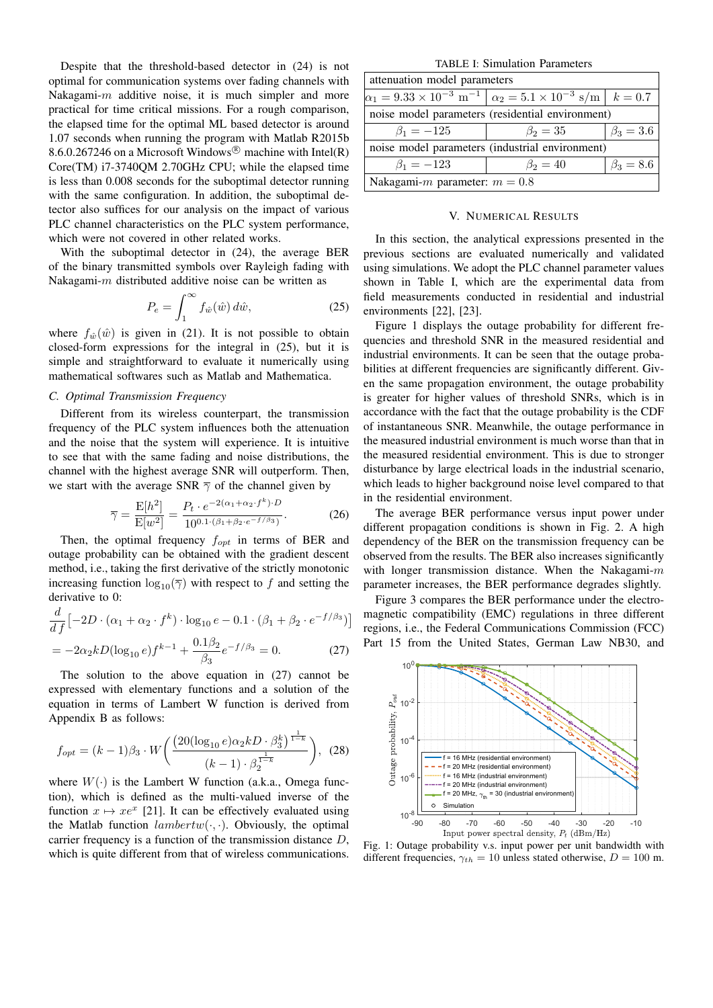Despite that the threshold-based detector in (24) is not optimal for communication systems over fading channels with Nakagami- $m$  additive noise, it is much simpler and more practical for time critical missions. For a rough comparison, the elapsed time for the optimal ML based detector is around 1.07 seconds when running the program with Matlab R2015b 8.6.0.267246 on a Microsoft Windows<sup>®</sup> machine with Intel(R) Core(TM) i7-3740QM 2.70GHz CPU; while the elapsed time is less than 0.008 seconds for the suboptimal detector running with the same configuration. In addition, the suboptimal detector also suffices for our analysis on the impact of various PLC channel characteristics on the PLC system performance, which were not covered in other related works.

With the suboptimal detector in (24), the average BER of the binary transmitted symbols over Rayleigh fading with Nakagami- $m$  distributed additive noise can be written as

$$
P_e = \int_1^\infty f_{\hat{w}}(\hat{w}) d\hat{w},\tag{25}
$$

where  $f_{\hat{w}}(\hat{w})$  is given in (21). It is not possible to obtain closed-form expressions for the integral in (25), but it is simple and straightforward to evaluate it numerically using mathematical softwares such as Matlab and Mathematica.

### *C. Optimal Transmission Frequency*

Different from its wireless counterpart, the transmission frequency of the PLC system influences both the attenuation and the noise that the system will experience. It is intuitive to see that with the same fading and noise distributions, the channel with the highest average SNR will outperform. Then, we start with the average SNR  $\overline{\gamma}$  of the channel given by

$$
\overline{\gamma} = \frac{\mathcal{E}[h^2]}{\mathcal{E}[w^2]} = \frac{P_t \cdot e^{-2(\alpha_1 + \alpha_2 \cdot f^k) \cdot D}}{10^{0.1 \cdot (\beta_1 + \beta_2 \cdot e^{-f/\beta_3})}}.
$$
(26)

Then, the optimal frequency  $f_{opt}$  in terms of BER and outage probability can be obtained with the gradient descent method, i.e., taking the first derivative of the strictly monotonic increasing function  $log_{10}(\overline{\gamma})$  with respect to f and setting the derivative to 0:

$$
\frac{d}{df} \left[ -2D \cdot (\alpha_1 + \alpha_2 \cdot f^k) \cdot \log_{10} e - 0.1 \cdot (\beta_1 + \beta_2 \cdot e^{-f/\beta_3}) \right]
$$
  
22. bD(12.2) +  $h^{k-1} + \frac{0.1\beta_2}{2} - f/\beta_3$ 

$$
= -2\alpha_2 k D(\log_{10} e) f^{k-1} + \frac{0.1/2}{\beta_3} e^{-f/\beta_3} = 0.
$$
 (27)

The solution to the above equation in (27) cannot be expressed with elementary functions and a solution of the equation in terms of Lambert W function is derived from Appendix B as follows:

$$
f_{opt} = (k-1)\beta_3 \cdot W\left(\frac{\left(20(\log_{10}e)\alpha_2 k D \cdot \beta_3^k\right)^{\frac{1}{1-k}}}{(k-1)\cdot \beta_2^{\frac{1}{1-k}}}\right), (28)
$$

where  $W(\cdot)$  is the Lambert W function (a.k.a., Omega function), which is defined as the multi-valued inverse of the function  $x \mapsto xe^x$  [21]. It can be effectively evaluated using the Matlab function  $lambertw(\cdot, \cdot)$ . Obviously, the optimal carrier frequency is a function of the transmission distance D, which is quite different from that of wireless communications.

TABLE I: Simulation Parameters

| attenuation model parameters                                                                          |                |                 |
|-------------------------------------------------------------------------------------------------------|----------------|-----------------|
| $\alpha_1 = 9.33 \times 10^{-3} \text{ m}^{-1}$ $\alpha_2 = 5.1 \times 10^{-3} \text{ s/m}$ $k = 0.7$ |                |                 |
| noise model parameters (residential environment)                                                      |                |                 |
| $\beta_1 = -125$                                                                                      | $\beta_2=35$   | $\beta_3 = 3.6$ |
| noise model parameters (industrial environment)                                                       |                |                 |
| $\beta_1 = -123$                                                                                      | $\beta_2 = 40$ | $\beta_3 = 8.6$ |
| Nakagami- $m$ parameter: $m = 0.8$                                                                    |                |                 |

### V. NUMERICAL RESULTS

In this section, the analytical expressions presented in the previous sections are evaluated numerically and validated using simulations. We adopt the PLC channel parameter values shown in Table I, which are the experimental data from field measurements conducted in residential and industrial environments [22], [23].

Figure 1 displays the outage probability for different frequencies and threshold SNR in the measured residential and industrial environments. It can be seen that the outage probabilities at different frequencies are significantly different. Given the same propagation environment, the outage probability is greater for higher values of threshold SNRs, which is in accordance with the fact that the outage probability is the CDF of instantaneous SNR. Meanwhile, the outage performance in the measured industrial environment is much worse than that in the measured residential environment. This is due to stronger disturbance by large electrical loads in the industrial scenario, which leads to higher background noise level compared to that in the residential environment.

The average BER performance versus input power under different propagation conditions is shown in Fig. 2. A high dependency of the BER on the transmission frequency can be observed from the results. The BER also increases significantly with longer transmission distance. When the Nakagami- $m$ parameter increases, the BER performance degrades slightly.

Figure 3 compares the BER performance under the electromagnetic compatibility (EMC) regulations in three different regions, i.e., the Federal Communications Commission (FCC) Part 15 from the United States, German Law NB30, and



Fig. 1: Outage probability v.s. input power per unit bandwidth with different frequencies,  $\gamma_{th} = 10$  unless stated otherwise,  $D = 100$  m.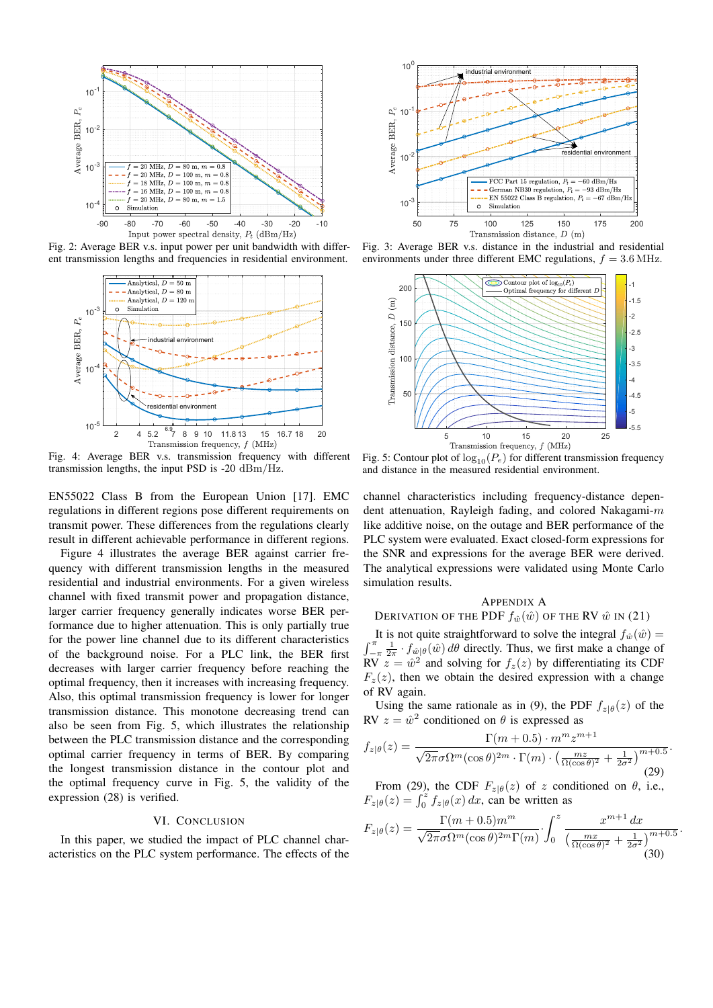

Fig. 2: Average BER v.s. input power per unit bandwidth with different transmission lengths and frequencies in residential environment.



Fig. 4: Average BER v.s. transmission frequency with different transmission lengths, the input PSD is -20 dBm/Hz.

EN55022 Class B from the European Union [17]. EMC regulations in different regions pose different requirements on transmit power. These differences from the regulations clearly result in different achievable performance in different regions.

Figure 4 illustrates the average BER against carrier frequency with different transmission lengths in the measured residential and industrial environments. For a given wireless channel with fixed transmit power and propagation distance, larger carrier frequency generally indicates worse BER performance due to higher attenuation. This is only partially true for the power line channel due to its different characteristics of the background noise. For a PLC link, the BER first decreases with larger carrier frequency before reaching the optimal frequency, then it increases with increasing frequency. Also, this optimal transmission frequency is lower for longer transmission distance. This monotone decreasing trend can also be seen from Fig. 5, which illustrates the relationship between the PLC transmission distance and the corresponding optimal carrier frequency in terms of BER. By comparing the longest transmission distance in the contour plot and the optimal frequency curve in Fig. 5, the validity of the expression (28) is verified.

# VI. CONCLUSION

In this paper, we studied the impact of PLC channel characteristics on the PLC system performance. The effects of the



Fig. 3: Average BER v.s. distance in the industrial and residential environments under three different EMC regulations,  $f = 3.6 \text{ MHz}$ .



Fig. 5: Contour plot of  $log_{10}(P_e)$  for different transmission frequency and distance in the measured residential environment.

channel characteristics including frequency-distance dependent attenuation, Rayleigh fading, and colored Nakagami- $m$ like additive noise, on the outage and BER performance of the PLC system were evaluated. Exact closed-form expressions for the SNR and expressions for the average BER were derived. The analytical expressions were validated using Monte Carlo simulation results.

### APPENDIX A

## DERIVATION OF THE PDF  $f_{\hat{w}}(\hat{w})$  OF THE RV  $\hat{w}$  IN (21)

It is not quite straightforward to solve the integral  $f_{\hat{w}}(\hat{w}) =$  $\int_{-\pi}^{\pi} \frac{1}{2\pi} \cdot f_{\hat{w}|\theta}(\hat{w}) d\theta$  directly. Thus, we first make a change of RV  $z = \hat{w}^2$  and solving for  $f_z(z)$  by differentiating its CDF  $F_z(z)$ , then we obtain the desired expression with a change of RV again.

Using the same rationale as in (9), the PDF  $f_{z|\theta}(z)$  of the RV  $z = \hat{w}^2$  conditioned on  $\theta$  is expressed as

$$
f_{z|\theta}(z) = \frac{\Gamma(m+0.5) \cdot m^m z^{m+1}}{\sqrt{2\pi}\sigma\Omega^m(\cos\theta)^{2m} \cdot \Gamma(m) \cdot \left(\frac{mz}{\Omega(\cos\theta)^2} + \frac{1}{2\sigma^2}\right)^{m+0.5}}.
$$
\n(29)

From (29), the CDF  $F_{z|\theta}(z)$  of z conditioned on  $\theta$ , i.e.,  $F_{z|\theta}(z) = \int_0^z f_{z|\theta}(x) dx$ , can be written as

$$
F_{z|\theta}(z) = \frac{\Gamma(m+0.5)m^m}{\sqrt{2\pi}\sigma\Omega^m(\cos\theta)^{2m}\Gamma(m)} \cdot \int_0^z \frac{x^{m+1} dx}{\left(\frac{mx}{\Omega(\cos\theta)^2} + \frac{1}{2\sigma^2}\right)^{m+0.5}}.
$$